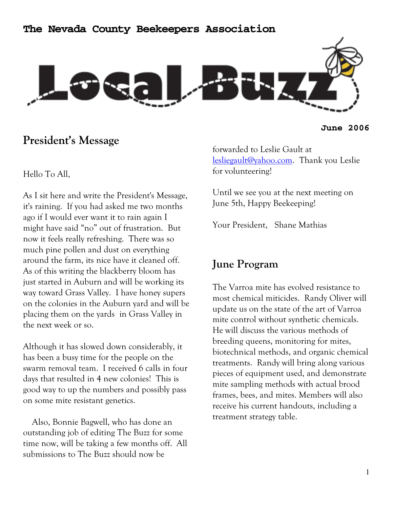



### **President's Message**

**June 2006** 

### Hello To All,

As I sit here and write the President's Message, it's raining. If you had asked me two months ago if I would ever want it to rain again I might have said "no" out of frustration. But now it feels really refreshing. There was so much pine pollen and dust on everything around the farm, its nice have it cleaned off. As of this writing the blackberry bloom has just started in Auburn and will be working its way toward Grass Valley. I have honey supers on the colonies in the Auburn yard and will be placing them on the yards in Grass Valley in the next week or so.

Although it has slowed down considerably, it has been a busy time for the people on the swarm removal team. I received 6 calls in four days that resulted in 4 new colonies! This is good way to up the numbers and possibly pass on some mite resistant genetics.

 Also, Bonnie Bagwell, who has done an outstanding job of editing The Buzz for some time now, will be taking a few months off. All submissions to The Buzz should now be

forwarded to Leslie Gault at lesliegault@yahoo.com. Thank you Leslie for volunteering!

Until we see you at the next meeting on June 5th, Happy Beekeeping!

Your President, Shane Mathias

### **June Program**

The Varroa mite has evolved resistance to most chemical miticides. Randy Oliver will update us on the state of the art of Varroa mite control without synthetic chemicals. He will discuss the various methods of breeding queens, monitoring for mites, biotechnical methods, and organic chemical treatments. Randy will bring along various pieces of equipment used, and demonstrate mite sampling methods with actual brood frames, bees, and mites. Members will also receive his current handouts, including a treatment strategy table.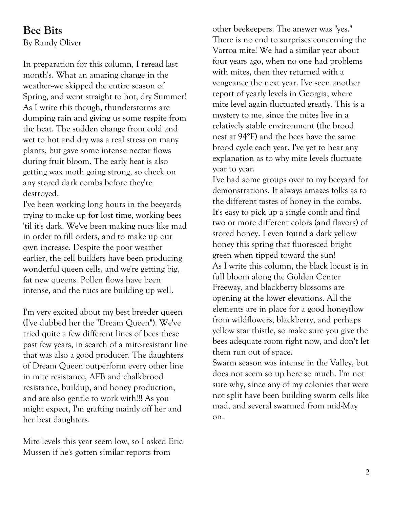## **Bee Bits**

By Randy Oliver

In preparation for this column, I reread last month's. What an amazing change in the weather-we skipped the entire season of Spring, and went straight to hot, dry Summer! As I write this though, thunderstorms are dumping rain and giving us some respite from the heat. The sudden change from cold and wet to hot and dry was a real stress on many plants, but gave some intense nectar flows during fruit bloom. The early heat is also getting wax moth going strong, so check on any stored dark combs before they're destroyed.

I've been working long hours in the beeyards trying to make up for lost time, working bees 'til it's dark. We've been making nucs like mad in order to fill orders, and to make up our own increase. Despite the poor weather earlier, the cell builders have been producing wonderful queen cells, and we're getting big, fat new queens. Pollen flows have been intense, and the nucs are building up well.

I'm very excited about my best breeder queen (I've dubbed her the "Dream Queen"). We've tried quite a few different lines of bees these past few years, in search of a mite-resistant line that was also a good producer. The daughters of Dream Queen outperform every other line in mite resistance, AFB and chalkbrood resistance, buildup, and honey production, and are also gentle to work with!!! As you might expect, I'm grafting mainly off her and her best daughters.

Mite levels this year seem low, so I asked Eric Mussen if he's gotten similar reports from

other beekeepers. The answer was "yes." There is no end to surprises concerning the Varroa mite! We had a similar year about four years ago, when no one had problems with mites, then they returned with a vengeance the next year. I've seen another report of yearly levels in Georgia, where mite level again fluctuated greatly. This is a mystery to me, since the mites live in a relatively stable environment (the brood nest at 94°F) and the bees have the same brood cycle each year. I've yet to hear any explanation as to why mite levels fluctuate year to year.

I've had some groups over to my beeyard for demonstrations. It always amazes folks as to the different tastes of honey in the combs. It's easy to pick up a single comb and find two or more different colors (and flavors) of stored honey. I even found a dark yellow honey this spring that fluoresced bright green when tipped toward the sun! As I write this column, the black locust is in full bloom along the Golden Center Freeway, and blackberry blossoms are opening at the lower elevations. All the elements are in place for a good honeyflow from wildflowers, blackberry, and perhaps yellow star thistle, so make sure you give the bees adequate room right now, and don't let them run out of space.

Swarm season was intense in the Valley, but does not seem so up here so much. I'm not sure why, since any of my colonies that were not split have been building swarm cells like mad, and several swarmed from mid-May on.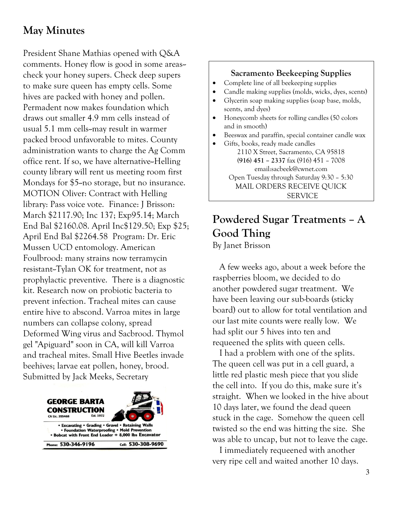# **May Minutes**

President Shane Mathias opened with Q&A comments. Honey flow is good in some areas-check your honey supers. Check deep supers to make sure queen has empty cells. Some hives are packed with honey and pollen. Permadent now makes foundation which draws out smaller 4.9 mm cells instead of usual 5.1 mm cells--may result in warmer packed brood unfavorable to mites. County administration wants to charge the Ag Comm office rent. If so, we have alternative--Helling county library will rent us meeting room first Mondays for \$5-no storage, but no insurance. MOTION Oliver: Contract with Helling library: Pass voice vote. Finance: J Brisson: March \$2117.90; Inc 137; Exp95.14; March End Bal \$2160.08. April Inc\$129.50; Exp \$25; April End Bal \$2264.58 Program: Dr. Eric Mussen UCD entomology. American Foulbrood: many strains now terramycin resistant--Tylan OK for treatment, not as prophylactic preventive. There is a diagnostic kit. Research now on probiotic bacteria to prevent infection. Tracheal mites can cause entire hive to abscond. Varroa mites in large numbers can collapse colony, spread Deformed Wing virus and Sacbrood. Thymol gel "Apiguard" soon in CA, will kill Varroa and tracheal mites. Small Hive Beetles invade beehives; larvae eat pollen, honey, brood. Submitted by Jack Meeks, Secretary



### **Sacramento Beekeeping Supplies**

- Complete line of all beekeeping supplies
- Candle making supplies (molds, wicks, dyes, scents)
- Glycerin soap making supplies (soap base, molds, scents, and dyes)
- Honeycomb sheets for rolling candles (50 colors and in smooth)
- Beeswax and paraffin, special container candle wax
- Gifts, books, ready made candles 2110 X Street, Sacramento, CA 95818 **(916) 451 – 2337** fax (916) 451 – 7008 email:sacbeek@cwnet.com Open Tuesday through Saturday 9:30 – 5:30 MAIL ORDERS RECEIVE QUICK SERVICE

# **Powdered Sugar Treatments – A Good Thing**

By Janet Brisson

 A few weeks ago, about a week before the raspberries bloom, we decided to do another powdered sugar treatment. We have been leaving our sub-boards (sticky board) out to allow for total ventilation and our last mite counts were really low. We had split our 5 hives into ten and requeened the splits with queen cells.

 I had a problem with one of the splits. The queen cell was put in a cell guard, a little red plastic mesh piece that you slide the cell into. If you do this, make sure it's straight. When we looked in the hive about 10 days later, we found the dead queen stuck in the cage. Somehow the queen cell twisted so the end was hitting the size. She was able to uncap, but not to leave the cage.

 I immediately requeened with another very ripe cell and waited another 10 days.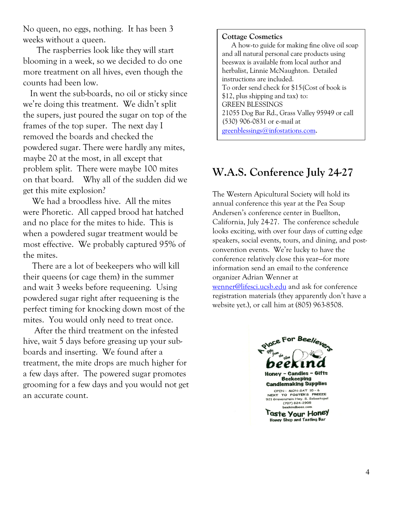No queen, no eggs, nothing. It has been 3 weeks without a queen.

 The raspberries look like they will start blooming in a week, so we decided to do one more treatment on all hives, even though the counts had been low.

 In went the sub-boards, no oil or sticky since we're doing this treatment. We didn't split the supers, just poured the sugar on top of the frames of the top super. The next day I removed the boards and checked the powdered sugar. There were hardly any mites, maybe 20 at the most, in all except that problem split. There were maybe 100 mites on that board. Why all of the sudden did we get this mite explosion?

 We had a broodless hive. All the mites were Phoretic. All capped brood hat hatched and no place for the mites to hide. This is when a powdered sugar treatment would be most effective. We probably captured 95% of the mites.

 There are a lot of beekeepers who will kill their queens (or cage them) in the summer and wait 3 weeks before requeening. Using powdered sugar right after requeening is the perfect timing for knocking down most of the mites. You would only need to treat once.

 After the third treatment on the infested hive, wait 5 days before greasing up your subboards and inserting. We found after a treatment, the mite drops are much higher for a few days after. The powered sugar promotes grooming for a few days and you would not get an accurate count.

#### **Cottage Cosmetics**

 A how-to guide for making fine olive oil soap and all natural personal care products using beeswax is available from local author and herbalist, Linnie McNaughton. Detailed instructions are included. To order send check for \$15(Cost of book is \$12, plus shipping and tax) to: GREEN BLESSINGS 21055 Dog Bar Rd., Grass Valley 95949 or call (530) 906-0831 or e-mail at greenblessings@infostations.com.

## **W.A.S. Conference July 24-27**

The Western Apicultural Society will hold its annual conference this year at the Pea Soup Andersen's conference center in Buellton, California, July 24-27. The conference schedule looks exciting, with over four days of cutting edge speakers, social events, tours, and dining, and postconvention events. We're lucky to have the conference relatively close this year—for more information send an email to the conference organizer Adrian Wenner at wenner@lifesci.ucsb.edu and ask for conference registration materials (they apparently don't have a website yet.), or call him at (805) 963-8508.